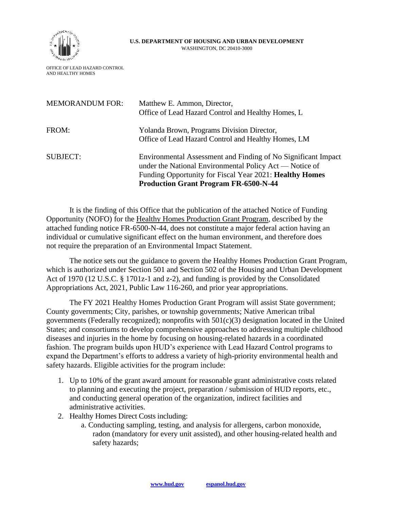

## **U.S. DEPARTMENT OF HOUSING AND URBAN DEVELOPMENT**  WASHINGTON, DC 20410-3000

OFFICE OF LEAD HAZARD CONTROL AND HEALTHY HOMES

| <b>MEMORANDUM FOR:</b> | Matthew E. Ammon, Director,<br>Office of Lead Hazard Control and Healthy Homes, L                                                                                                                                                          |
|------------------------|--------------------------------------------------------------------------------------------------------------------------------------------------------------------------------------------------------------------------------------------|
| FROM:                  | Yolanda Brown, Programs Division Director,<br>Office of Lead Hazard Control and Healthy Homes, LM                                                                                                                                          |
| <b>SUBJECT:</b>        | Environmental Assessment and Finding of No Significant Impact<br>under the National Environmental Policy Act — Notice of<br>Funding Opportunity for Fiscal Year 2021: <b>Healthy Homes</b><br><b>Production Grant Program FR-6500-N-44</b> |

It is the finding of this Office that the publication of the attached Notice of Funding Opportunity (NOFO) for the Healthy Homes Production Grant Program, described by the attached funding notice FR-6500-N-44, does not constitute a major federal action having an individual or cumulative significant effect on the human environment, and therefore does not require the preparation of an Environmental Impact Statement.

The notice sets out the guidance to govern the Healthy Homes Production Grant Program, which is authorized under Section 501 and Section 502 of the Housing and Urban Development Act of 1970 (12 U.S.C. § 1701z-1 and z-2), and funding is provided by the Consolidated Appropriations Act, 2021, Public Law 116-260, and prior year appropriations.

The FY 2021 Healthy Homes Production Grant Program will assist State government; County governments; City, parishes, or township governments; Native American tribal governments (Federally recognized); nonprofits with 501(c)(3) designation located in the United States; and consortiums to develop comprehensive approaches to addressing multiple childhood diseases and injuries in the home by focusing on housing-related hazards in a coordinated fashion. The program builds upon HUD's experience with Lead Hazard Control programs to expand the Department's efforts to address a variety of high-priority environmental health and safety hazards. Eligible activities for the program include:

- 1. Up to 10% of the grant award amount for reasonable grant administrative costs related to planning and executing the project, preparation / submission of HUD reports, etc., and conducting general operation of the organization, indirect facilities and administrative activities.
- 2. Healthy Homes Direct Costs including:
	- a. Conducting sampling, testing, and analysis for allergens, carbon monoxide, radon (mandatory for every unit assisted), and other housing-related health and safety hazards;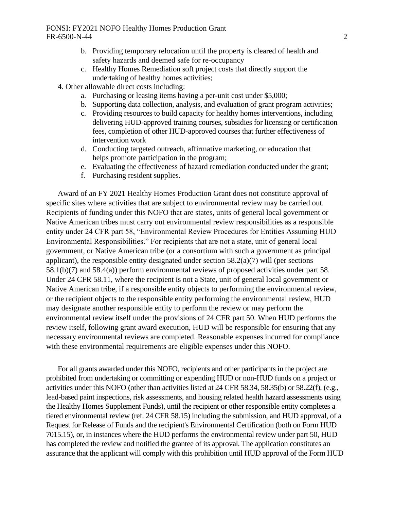## FONSI: FY2021 NOFO Healthy Homes Production Grant FR-6500-N-44 2

- b. Providing temporary relocation until the property is cleared of health and safety hazards and deemed safe for re-occupancy
- c. Healthy Homes Remediation soft project costs that directly support the undertaking of healthy homes activities;
- 4. Other allowable direct costs including:
	- a. Purchasing or leasing items having a per-unit cost under \$5,000;
	- b. Supporting data collection, analysis, and evaluation of grant program activities;
	- c. Providing resources to build capacity for healthy homes interventions, including delivering HUD-approved training courses, subsidies for licensing or certification fees, completion of other HUD-approved courses that further effectiveness of intervention work
	- d. Conducting targeted outreach, affirmative marketing, or education that helps promote participation in the program;
	- e. Evaluating the effectiveness of hazard remediation conducted under the grant;
	- f. Purchasing resident supplies.

Award of an FY 2021 Healthy Homes Production Grant does not constitute approval of specific sites where activities that are subject to environmental review may be carried out. Recipients of funding under this NOFO that are states, units of general local government or Native American tribes must carry out environmental review responsibilities as a responsible entity under 24 CFR part 58, "Environmental Review Procedures for Entities Assuming HUD Environmental Responsibilities." For recipients that are not a state, unit of general local government, or Native American tribe (or a consortium with such a government as principal applicant), the responsible entity designated under section 58.2(a)(7) will (per sections 58.1(b)(7) and 58.4(a)) perform environmental reviews of proposed activities under part 58. Under 24 CFR 58.11, where the recipient is not a State, unit of general local government or Native American tribe, if a responsible entity objects to performing the environmental review, or the recipient objects to the responsible entity performing the environmental review, HUD may designate another responsible entity to perform the review or may perform the environmental review itself under the provisions of 24 CFR part 50. When HUD performs the review itself, following grant award execution, HUD will be responsible for ensuring that any necessary environmental reviews are completed. Reasonable expenses incurred for compliance with these environmental requirements are eligible expenses under this NOFO.

For all grants awarded under this NOFO, recipients and other participants in the project are prohibited from undertaking or committing or expending HUD or non-HUD funds on a project or activities under this NOFO (other than activities listed at 24 CFR 58.34, 58.35(b) or 58.22(f), (e.g., lead-based paint inspections, risk assessments, and housing related health hazard assessments using the Healthy Homes Supplement Funds), until the recipient or other responsible entity completes a tiered environmental review (ref. 24 CFR 58.15) including the submission, and HUD approval, of a Request for Release of Funds and the recipient's Environmental Certification (both on Form HUD 7015.15), or, in instances where the HUD performs the environmental review under part 50, HUD has completed the review and notified the grantee of its approval. The application constitutes an assurance that the applicant will comply with this prohibition until HUD approval of the Form HUD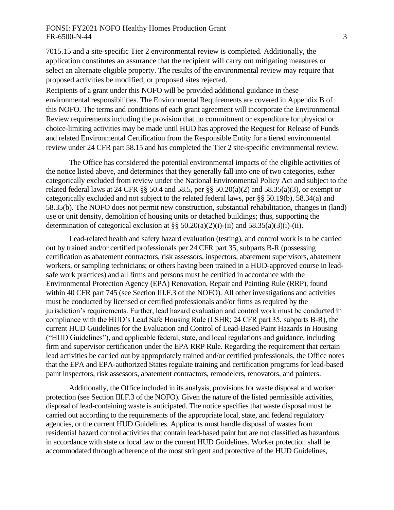## FONSI: FY2021 NOFO Healthy Homes Production Grant FR-6500-N-44 3

7015.15 and a site-specific Tier 2 environmental review is completed. Additionally, the application constitutes an assurance that the recipient will carry out mitigating measures or select an alternate eligible property. The results of the environmental review may require that proposed activities be modified, or proposed sites rejected.

Recipients of a grant under this NOFO will be provided additional guidance in these environmental responsibilities. The Environmental Requirements are covered in Appendix B of this NOFO. The terms and conditions of each grant agreement will incorporate the Environmental Review requirements including the provision that no commitment or expenditure for physical or choice-limiting activities may be made until HUD has approved the Request for Release of Funds and related Environmental Certification from the Responsible Entity for a tiered environmental review under 24 CFR part 58.15 and has completed the Tier 2 site-specific environmental review.

The Office has considered the potential environmental impacts of the eligible activities of the notice listed above, and determines that they generally fall into one of two categories, either categorically excluded from review under the National Environmental Policy Act and subject to the related federal laws at 24 CFR  $\S$ § 50.4 and 58.5, per  $\S$ § 50.20(a)(2) and 58.35(a)(3), or exempt or categorically excluded and not subject to the related federal laws, per §§ 50.19(b), 58.34(a) and 58.35(b). The NOFO does not permit new construction, substantial rehabilitation, changes in (land) use or unit density, demolition of housing units or detached buildings; thus, supporting the determination of categorical exclusion at  $\S$  50.20(a)(2)(i)-(ii) and 58.35(a)(3)(i)-(ii).

Lead-related health and safety hazard evaluation (testing), and control work is to be carried out by trained and/or certified professionals per 24 CFR part 35, subparts B-R (possessing certification as abatement contractors, risk assessors, inspectors, abatement supervisors, abatement workers, or sampling technicians; or others having been trained in a HUD-approved course in leadsafe work practices) and all firms and persons must be certified in accordance with the Environmental Protection Agency (EPA) Renovation, Repair and Painting Rule (RRP), found within 40 CFR part 745 (see Section III.F.3 of the NOFO). All other investigations and activities must be conducted by licensed or certified professionals and/or firms as required by the jurisdiction's requirements. Further, lead hazard evaluation and control work must be conducted in compliance with the HUD's Lead Safe Housing Rule (LSHR; 24 CFR part 35, subparts B-R), the current HUD Guidelines for the Evaluation and Control of Lead-Based Paint Hazards in Housing ("HUD Guidelines"), and applicable federal, state, and local regulations and guidance, including firm and supervisor certification under the EPA RRP Rule. Regarding the requirement that certain lead activities be carried out by appropriately trained and/or certified professionals, the Office notes that the EPA and EPA-authorized States regulate training and certification programs for lead-based paint inspectors, risk assessors, abatement contractors, remodelers, renovators, and painters.

Additionally, the Office included in its analysis, provisions for waste disposal and worker protection (see Section III.F.3 of the NOFO). Given the nature of the listed permissible activities, disposal of lead-containing waste is anticipated. The notice specifies that waste disposal must be carried out according to the requirements of the appropriate local, state, and federal regulatory agencies, or the current HUD Guidelines. Applicants must handle disposal of wastes from residential hazard control activities that contain lead-based paint but are not classified as hazardous in accordance with state or local law or the current HUD Guidelines. Worker protection shall be accommodated through adherence of the most stringent and protective of the HUD Guidelines,